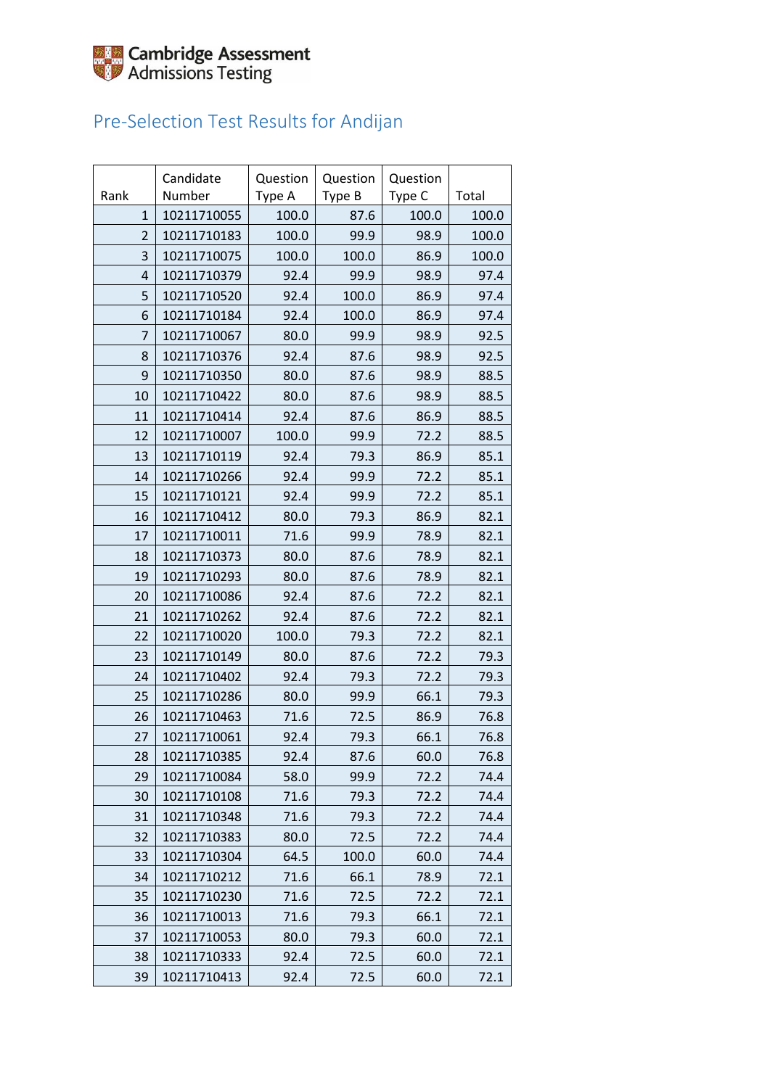

### Pre-Selection Test Results for Andijan

| Rank           | Candidate<br>Number | Question<br>Type A | Question<br>Type B | Question<br>Type C | Total |
|----------------|---------------------|--------------------|--------------------|--------------------|-------|
| $\mathbf{1}$   | 10211710055         | 100.0              | 87.6               | 100.0              | 100.0 |
| $\overline{2}$ | 10211710183         | 100.0              | 99.9               | 98.9               | 100.0 |
| 3              | 10211710075         | 100.0              | 100.0              | 86.9               | 100.0 |
| $\overline{4}$ | 10211710379         | 92.4               | 99.9               | 98.9               | 97.4  |
| 5              | 10211710520         | 92.4               | 100.0              | 86.9               | 97.4  |
| 6              | 10211710184         | 92.4               | 100.0              | 86.9               | 97.4  |
| $\overline{7}$ | 10211710067         | 80.0               | 99.9               | 98.9               | 92.5  |
| 8              | 10211710376         | 92.4               | 87.6               | 98.9               | 92.5  |
| 9              | 10211710350         | 80.0               | 87.6               | 98.9               | 88.5  |
| 10             | 10211710422         | 80.0               | 87.6               | 98.9               | 88.5  |
| 11             | 10211710414         | 92.4               | 87.6               | 86.9               | 88.5  |
| 12             | 10211710007         | 100.0              | 99.9               | 72.2               | 88.5  |
| 13             | 10211710119         | 92.4               | 79.3               | 86.9               | 85.1  |
| 14             | 10211710266         | 92.4               | 99.9               | 72.2               | 85.1  |
| 15             | 10211710121         | 92.4               | 99.9               | 72.2               | 85.1  |
| 16             | 10211710412         | 80.0               | 79.3               | 86.9               | 82.1  |
| 17             | 10211710011         | 71.6               | 99.9               | 78.9               | 82.1  |
| 18             | 10211710373         | 80.0               | 87.6               | 78.9               | 82.1  |
| 19             | 10211710293         | 80.0               | 87.6               | 78.9               | 82.1  |
| 20             | 10211710086         | 92.4               | 87.6               | 72.2               | 82.1  |
| 21             | 10211710262         | 92.4               | 87.6               | 72.2               | 82.1  |
| 22             | 10211710020         | 100.0              | 79.3               | 72.2               | 82.1  |
| 23             | 10211710149         | 80.0               | 87.6               | 72.2               | 79.3  |
| 24             | 10211710402         | 92.4               | 79.3               | 72.2               | 79.3  |
| 25             | 10211710286         | 80.0               | 99.9               | 66.1               | 79.3  |
| 26             | 10211710463         | 71.6               | 72.5               | 86.9               | 76.8  |
| 27             | 10211710061         | 92.4               | 79.3               | 66.1               | 76.8  |
| 28             | 10211710385         | 92.4               | 87.6               | 60.0               | 76.8  |
| 29             | 10211710084         | 58.0               | 99.9               | 72.2               | 74.4  |
| 30             | 10211710108         | 71.6               | 79.3               | 72.2               | 74.4  |
| 31             | 10211710348         | 71.6               | 79.3               | 72.2               | 74.4  |
| 32             | 10211710383         | 80.0               | 72.5               | 72.2               | 74.4  |
| 33             | 10211710304         | 64.5               | 100.0              | 60.0               | 74.4  |
| 34             | 10211710212         | 71.6               | 66.1               | 78.9               | 72.1  |
| 35             | 10211710230         | 71.6               | 72.5               | 72.2               | 72.1  |
| 36             | 10211710013         | 71.6               | 79.3               | 66.1               | 72.1  |
| 37             | 10211710053         | 80.0               | 79.3               | 60.0               | 72.1  |
| 38             | 10211710333         | 92.4               | 72.5               | 60.0               | 72.1  |
| 39             | 10211710413         | 92.4               | 72.5               | 60.0               | 72.1  |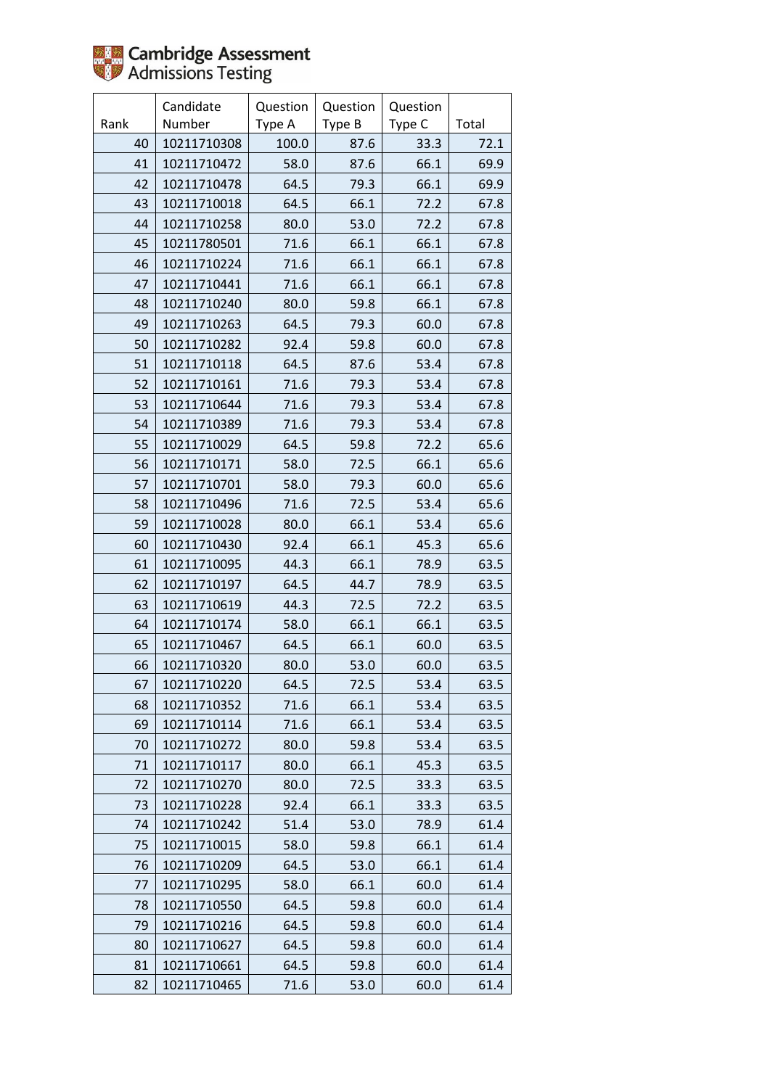

|      | Candidate   | Question | Question | Question |       |
|------|-------------|----------|----------|----------|-------|
| Rank | Number      | Type A   | Type B   | Type C   | Total |
| 40   | 10211710308 | 100.0    | 87.6     | 33.3     | 72.1  |
| 41   | 10211710472 | 58.0     | 87.6     | 66.1     | 69.9  |
| 42   | 10211710478 | 64.5     | 79.3     | 66.1     | 69.9  |
| 43   | 10211710018 | 64.5     | 66.1     | 72.2     | 67.8  |
| 44   | 10211710258 | 80.0     | 53.0     | 72.2     | 67.8  |
| 45   | 10211780501 | 71.6     | 66.1     | 66.1     | 67.8  |
| 46   | 10211710224 | 71.6     | 66.1     | 66.1     | 67.8  |
| 47   | 10211710441 | 71.6     | 66.1     | 66.1     | 67.8  |
| 48   | 10211710240 | 80.0     | 59.8     | 66.1     | 67.8  |
| 49   | 10211710263 | 64.5     | 79.3     | 60.0     | 67.8  |
| 50   | 10211710282 | 92.4     | 59.8     | 60.0     | 67.8  |
| 51   | 10211710118 | 64.5     | 87.6     | 53.4     | 67.8  |
| 52   | 10211710161 | 71.6     | 79.3     | 53.4     | 67.8  |
| 53   | 10211710644 | 71.6     | 79.3     | 53.4     | 67.8  |
| 54   | 10211710389 | 71.6     | 79.3     | 53.4     | 67.8  |
| 55   | 10211710029 | 64.5     | 59.8     | 72.2     | 65.6  |
| 56   | 10211710171 | 58.0     | 72.5     | 66.1     | 65.6  |
| 57   | 10211710701 | 58.0     | 79.3     | 60.0     | 65.6  |
| 58   | 10211710496 | 71.6     | 72.5     | 53.4     | 65.6  |
| 59   | 10211710028 | 80.0     | 66.1     | 53.4     | 65.6  |
| 60   | 10211710430 | 92.4     | 66.1     | 45.3     | 65.6  |
| 61   | 10211710095 | 44.3     | 66.1     | 78.9     | 63.5  |
| 62   | 10211710197 | 64.5     | 44.7     | 78.9     | 63.5  |
| 63   | 10211710619 | 44.3     | 72.5     | 72.2     | 63.5  |
| 64   | 10211710174 | 58.0     | 66.1     | 66.1     | 63.5  |
| 65   | 10211710467 | 64.5     | 66.1     | 60.0     | 63.5  |
| 66   | 10211710320 | 80.0     | 53.0     | 60.0     | 63.5  |
| 67   | 10211710220 | 64.5     | 72.5     | 53.4     | 63.5  |
| 68   | 10211710352 | 71.6     | 66.1     | 53.4     | 63.5  |
| 69   | 10211710114 | 71.6     | 66.1     | 53.4     | 63.5  |
| 70   | 10211710272 | 80.0     | 59.8     | 53.4     | 63.5  |
| 71   | 10211710117 | 80.0     | 66.1     | 45.3     | 63.5  |
| 72   | 10211710270 | 80.0     | 72.5     | 33.3     | 63.5  |
| 73   | 10211710228 | 92.4     | 66.1     | 33.3     | 63.5  |
| 74   | 10211710242 | 51.4     | 53.0     | 78.9     | 61.4  |
| 75   | 10211710015 | 58.0     | 59.8     | 66.1     | 61.4  |
| 76   | 10211710209 | 64.5     | 53.0     | 66.1     | 61.4  |
| 77   | 10211710295 | 58.0     | 66.1     | 60.0     | 61.4  |
| 78   | 10211710550 | 64.5     | 59.8     | 60.0     | 61.4  |
| 79   | 10211710216 | 64.5     | 59.8     | 60.0     | 61.4  |
| 80   | 10211710627 | 64.5     | 59.8     | 60.0     | 61.4  |
| 81   | 10211710661 | 64.5     | 59.8     | 60.0     | 61.4  |
| 82   | 10211710465 | 71.6     | 53.0     | 60.0     | 61.4  |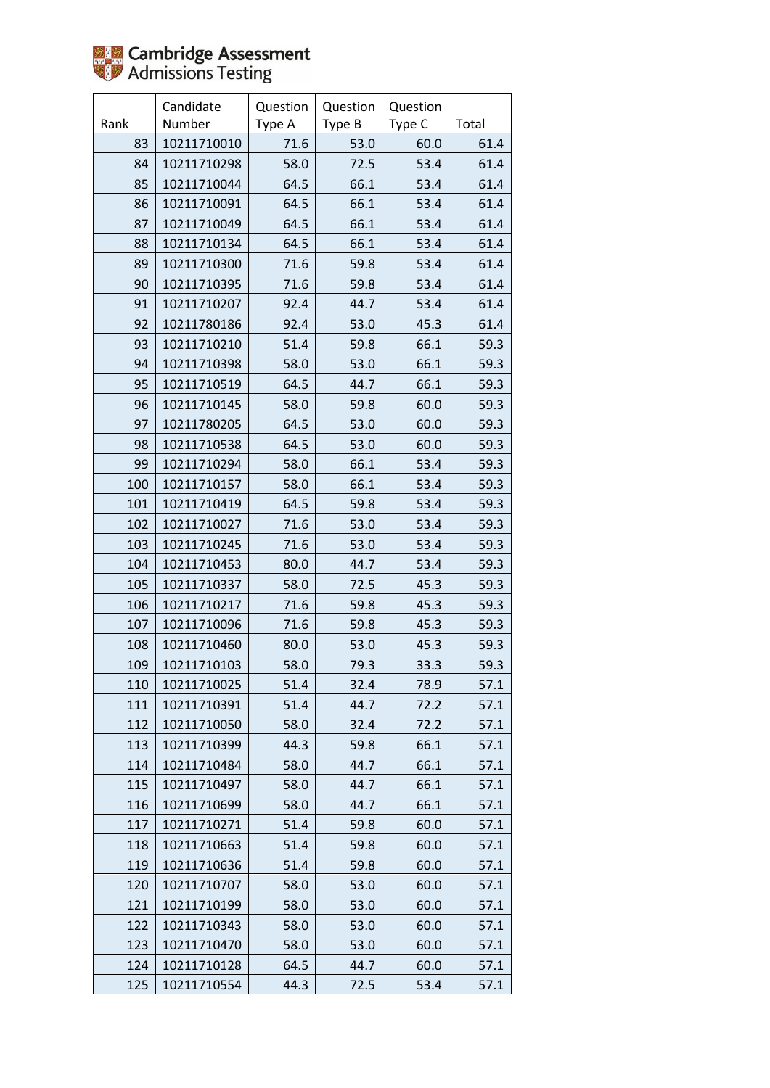

|      | Candidate   | Question | Question | Question |       |
|------|-------------|----------|----------|----------|-------|
| Rank | Number      | Type A   | Type B   | Type C   | Total |
| 83   | 10211710010 | 71.6     | 53.0     | 60.0     | 61.4  |
| 84   | 10211710298 | 58.0     | 72.5     | 53.4     | 61.4  |
| 85   | 10211710044 | 64.5     | 66.1     | 53.4     | 61.4  |
| 86   | 10211710091 | 64.5     | 66.1     | 53.4     | 61.4  |
| 87   | 10211710049 | 64.5     | 66.1     | 53.4     | 61.4  |
| 88   | 10211710134 | 64.5     | 66.1     | 53.4     | 61.4  |
| 89   | 10211710300 | 71.6     | 59.8     | 53.4     | 61.4  |
| 90   | 10211710395 | 71.6     | 59.8     | 53.4     | 61.4  |
| 91   | 10211710207 | 92.4     | 44.7     | 53.4     | 61.4  |
| 92   | 10211780186 | 92.4     | 53.0     | 45.3     | 61.4  |
| 93   | 10211710210 | 51.4     | 59.8     | 66.1     | 59.3  |
| 94   | 10211710398 | 58.0     | 53.0     | 66.1     | 59.3  |
| 95   | 10211710519 | 64.5     | 44.7     | 66.1     | 59.3  |
| 96   | 10211710145 | 58.0     | 59.8     | 60.0     | 59.3  |
| 97   | 10211780205 | 64.5     | 53.0     | 60.0     | 59.3  |
| 98   | 10211710538 | 64.5     | 53.0     | 60.0     | 59.3  |
| 99   | 10211710294 | 58.0     | 66.1     | 53.4     | 59.3  |
| 100  | 10211710157 | 58.0     | 66.1     | 53.4     | 59.3  |
| 101  | 10211710419 | 64.5     | 59.8     | 53.4     | 59.3  |
| 102  | 10211710027 | 71.6     | 53.0     | 53.4     | 59.3  |
| 103  | 10211710245 | 71.6     | 53.0     | 53.4     | 59.3  |
| 104  | 10211710453 | 80.0     | 44.7     | 53.4     | 59.3  |
| 105  | 10211710337 | 58.0     | 72.5     | 45.3     | 59.3  |
| 106  | 10211710217 | 71.6     | 59.8     | 45.3     | 59.3  |
| 107  | 10211710096 | 71.6     | 59.8     | 45.3     | 59.3  |
| 108  | 10211710460 | 80.0     | 53.0     | 45.3     | 59.3  |
| 109  | 10211710103 | 58.0     | 79.3     | 33.3     | 59.3  |
| 110  | 10211710025 | 51.4     | 32.4     | 78.9     | 57.1  |
| 111  | 10211710391 | 51.4     | 44.7     | 72.2     | 57.1  |
| 112  | 10211710050 | 58.0     | 32.4     | 72.2     | 57.1  |
| 113  | 10211710399 | 44.3     | 59.8     | 66.1     | 57.1  |
| 114  | 10211710484 | 58.0     | 44.7     | 66.1     | 57.1  |
| 115  | 10211710497 | 58.0     | 44.7     | 66.1     | 57.1  |
| 116  | 10211710699 | 58.0     | 44.7     | 66.1     | 57.1  |
| 117  | 10211710271 | 51.4     | 59.8     | 60.0     | 57.1  |
| 118  | 10211710663 | 51.4     | 59.8     | 60.0     | 57.1  |
| 119  | 10211710636 | 51.4     | 59.8     | 60.0     | 57.1  |
| 120  | 10211710707 | 58.0     | 53.0     | 60.0     | 57.1  |
| 121  | 10211710199 | 58.0     | 53.0     | 60.0     | 57.1  |
| 122  | 10211710343 | 58.0     | 53.0     | 60.0     | 57.1  |
| 123  | 10211710470 | 58.0     | 53.0     | 60.0     | 57.1  |
| 124  | 10211710128 | 64.5     | 44.7     | 60.0     | 57.1  |
| 125  | 10211710554 | 44.3     | 72.5     | 53.4     | 57.1  |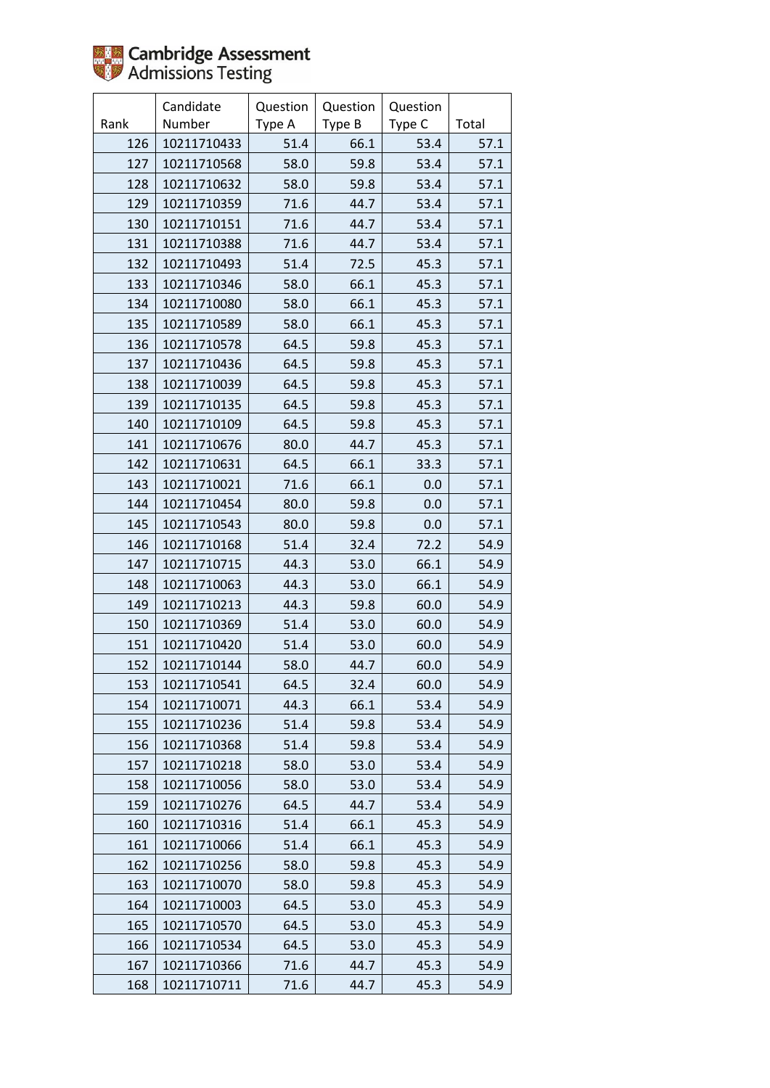

|      | Candidate   | Question | Question | Question |       |
|------|-------------|----------|----------|----------|-------|
| Rank | Number      | Type A   | Type B   | Type C   | Total |
| 126  | 10211710433 | 51.4     | 66.1     | 53.4     | 57.1  |
| 127  | 10211710568 | 58.0     | 59.8     | 53.4     | 57.1  |
| 128  | 10211710632 | 58.0     | 59.8     | 53.4     | 57.1  |
| 129  | 10211710359 | 71.6     | 44.7     | 53.4     | 57.1  |
| 130  | 10211710151 | 71.6     | 44.7     | 53.4     | 57.1  |
| 131  | 10211710388 | 71.6     | 44.7     | 53.4     | 57.1  |
| 132  | 10211710493 | 51.4     | 72.5     | 45.3     | 57.1  |
| 133  | 10211710346 | 58.0     | 66.1     | 45.3     | 57.1  |
| 134  | 10211710080 | 58.0     | 66.1     | 45.3     | 57.1  |
| 135  | 10211710589 | 58.0     | 66.1     | 45.3     | 57.1  |
| 136  | 10211710578 | 64.5     | 59.8     | 45.3     | 57.1  |
| 137  | 10211710436 | 64.5     | 59.8     | 45.3     | 57.1  |
| 138  | 10211710039 | 64.5     | 59.8     | 45.3     | 57.1  |
| 139  | 10211710135 | 64.5     | 59.8     | 45.3     | 57.1  |
| 140  | 10211710109 | 64.5     | 59.8     | 45.3     | 57.1  |
| 141  | 10211710676 | 80.0     | 44.7     | 45.3     | 57.1  |
| 142  | 10211710631 | 64.5     | 66.1     | 33.3     | 57.1  |
| 143  | 10211710021 | 71.6     | 66.1     | 0.0      | 57.1  |
| 144  | 10211710454 | 80.0     | 59.8     | 0.0      | 57.1  |
| 145  | 10211710543 | 80.0     | 59.8     | 0.0      | 57.1  |
| 146  | 10211710168 | 51.4     | 32.4     | 72.2     | 54.9  |
| 147  | 10211710715 | 44.3     | 53.0     | 66.1     | 54.9  |
| 148  | 10211710063 | 44.3     | 53.0     | 66.1     | 54.9  |
| 149  | 10211710213 | 44.3     | 59.8     | 60.0     | 54.9  |
| 150  | 10211710369 | 51.4     | 53.0     | 60.0     | 54.9  |
| 151  | 10211710420 | 51.4     | 53.0     | 60.0     | 54.9  |
| 152  | 10211710144 | 58.0     | 44.7     | 60.0     | 54.9  |
| 153  | 10211710541 | 64.5     | 32.4     | 60.0     | 54.9  |
| 154  | 10211710071 | 44.3     | 66.1     | 53.4     | 54.9  |
| 155  | 10211710236 | 51.4     | 59.8     | 53.4     | 54.9  |
| 156  | 10211710368 | 51.4     | 59.8     | 53.4     | 54.9  |
| 157  | 10211710218 | 58.0     | 53.0     | 53.4     | 54.9  |
| 158  | 10211710056 | 58.0     | 53.0     | 53.4     | 54.9  |
| 159  | 10211710276 | 64.5     | 44.7     | 53.4     | 54.9  |
| 160  | 10211710316 | 51.4     | 66.1     | 45.3     | 54.9  |
| 161  | 10211710066 | 51.4     | 66.1     | 45.3     | 54.9  |
| 162  | 10211710256 | 58.0     | 59.8     | 45.3     | 54.9  |
| 163  | 10211710070 | 58.0     | 59.8     | 45.3     | 54.9  |
| 164  | 10211710003 | 64.5     | 53.0     | 45.3     | 54.9  |
| 165  | 10211710570 | 64.5     | 53.0     | 45.3     | 54.9  |
| 166  | 10211710534 | 64.5     | 53.0     | 45.3     | 54.9  |
| 167  | 10211710366 | 71.6     | 44.7     | 45.3     | 54.9  |
| 168  | 10211710711 | 71.6     | 44.7     | 45.3     | 54.9  |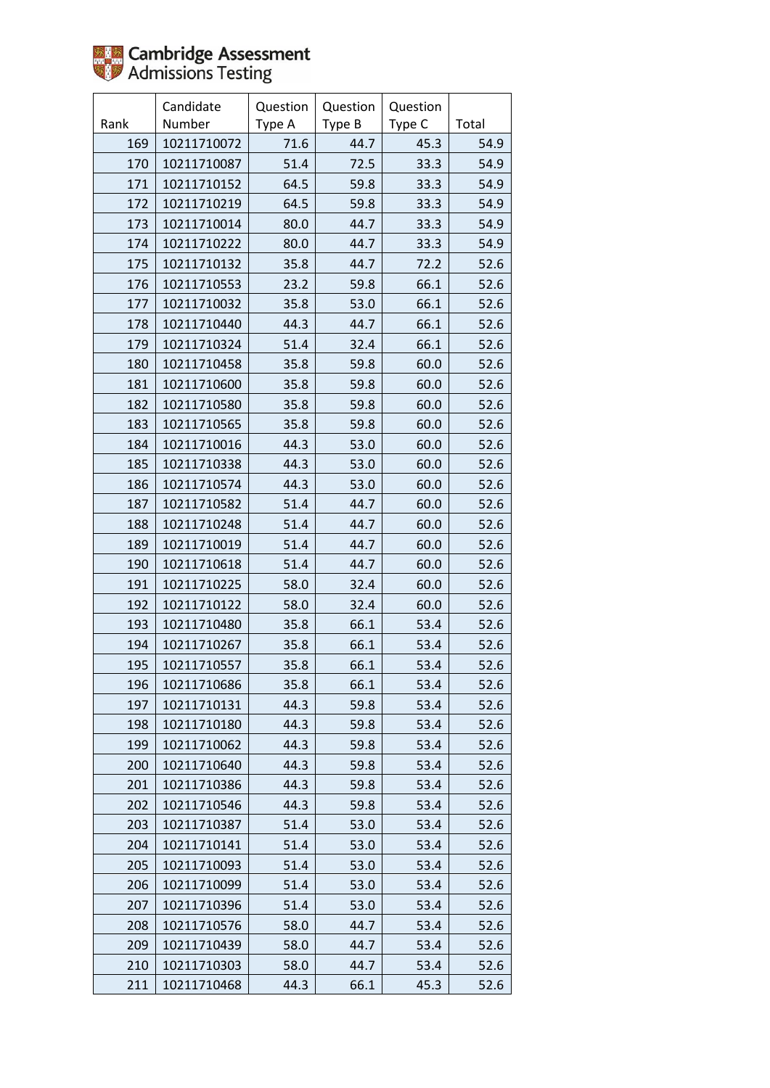

|      | Candidate   | Question | Question | Question |       |
|------|-------------|----------|----------|----------|-------|
| Rank | Number      | Type A   | Type B   | Type C   | Total |
| 169  | 10211710072 | 71.6     | 44.7     | 45.3     | 54.9  |
| 170  | 10211710087 | 51.4     | 72.5     | 33.3     | 54.9  |
| 171  | 10211710152 | 64.5     | 59.8     | 33.3     | 54.9  |
| 172  | 10211710219 | 64.5     | 59.8     | 33.3     | 54.9  |
| 173  | 10211710014 | 80.0     | 44.7     | 33.3     | 54.9  |
| 174  | 10211710222 | 80.0     | 44.7     | 33.3     | 54.9  |
| 175  | 10211710132 | 35.8     | 44.7     | 72.2     | 52.6  |
| 176  | 10211710553 | 23.2     | 59.8     | 66.1     | 52.6  |
| 177  | 10211710032 | 35.8     | 53.0     | 66.1     | 52.6  |
| 178  | 10211710440 | 44.3     | 44.7     | 66.1     | 52.6  |
| 179  | 10211710324 | 51.4     | 32.4     | 66.1     | 52.6  |
| 180  | 10211710458 | 35.8     | 59.8     | 60.0     | 52.6  |
| 181  | 10211710600 | 35.8     | 59.8     | 60.0     | 52.6  |
| 182  | 10211710580 | 35.8     | 59.8     | 60.0     | 52.6  |
| 183  | 10211710565 | 35.8     | 59.8     | 60.0     | 52.6  |
| 184  | 10211710016 | 44.3     | 53.0     | 60.0     | 52.6  |
| 185  | 10211710338 | 44.3     | 53.0     | 60.0     | 52.6  |
| 186  | 10211710574 | 44.3     | 53.0     | 60.0     | 52.6  |
| 187  | 10211710582 | 51.4     | 44.7     | 60.0     | 52.6  |
| 188  | 10211710248 | 51.4     | 44.7     | 60.0     | 52.6  |
| 189  | 10211710019 | 51.4     | 44.7     | 60.0     | 52.6  |
| 190  | 10211710618 | 51.4     | 44.7     | 60.0     | 52.6  |
| 191  | 10211710225 | 58.0     | 32.4     | 60.0     | 52.6  |
| 192  | 10211710122 | 58.0     | 32.4     | 60.0     | 52.6  |
| 193  | 10211710480 | 35.8     | 66.1     | 53.4     | 52.6  |
| 194  | 10211710267 | 35.8     | 66.1     | 53.4     | 52.6  |
| 195  | 10211710557 | 35.8     | 66.1     | 53.4     | 52.6  |
| 196  | 10211710686 | 35.8     | 66.1     | 53.4     | 52.6  |
| 197  | 10211710131 | 44.3     | 59.8     | 53.4     | 52.6  |
| 198  | 10211710180 | 44.3     | 59.8     | 53.4     | 52.6  |
| 199  | 10211710062 | 44.3     | 59.8     | 53.4     | 52.6  |
| 200  | 10211710640 | 44.3     | 59.8     | 53.4     | 52.6  |
| 201  | 10211710386 | 44.3     | 59.8     | 53.4     | 52.6  |
| 202  | 10211710546 | 44.3     | 59.8     | 53.4     | 52.6  |
| 203  | 10211710387 | 51.4     | 53.0     | 53.4     | 52.6  |
| 204  | 10211710141 | 51.4     | 53.0     | 53.4     | 52.6  |
| 205  | 10211710093 | 51.4     | 53.0     | 53.4     | 52.6  |
| 206  | 10211710099 | 51.4     | 53.0     | 53.4     | 52.6  |
| 207  | 10211710396 | 51.4     | 53.0     | 53.4     | 52.6  |
| 208  | 10211710576 | 58.0     | 44.7     | 53.4     | 52.6  |
| 209  | 10211710439 | 58.0     | 44.7     | 53.4     | 52.6  |
| 210  | 10211710303 | 58.0     | 44.7     | 53.4     | 52.6  |
| 211  | 10211710468 | 44.3     | 66.1     | 45.3     | 52.6  |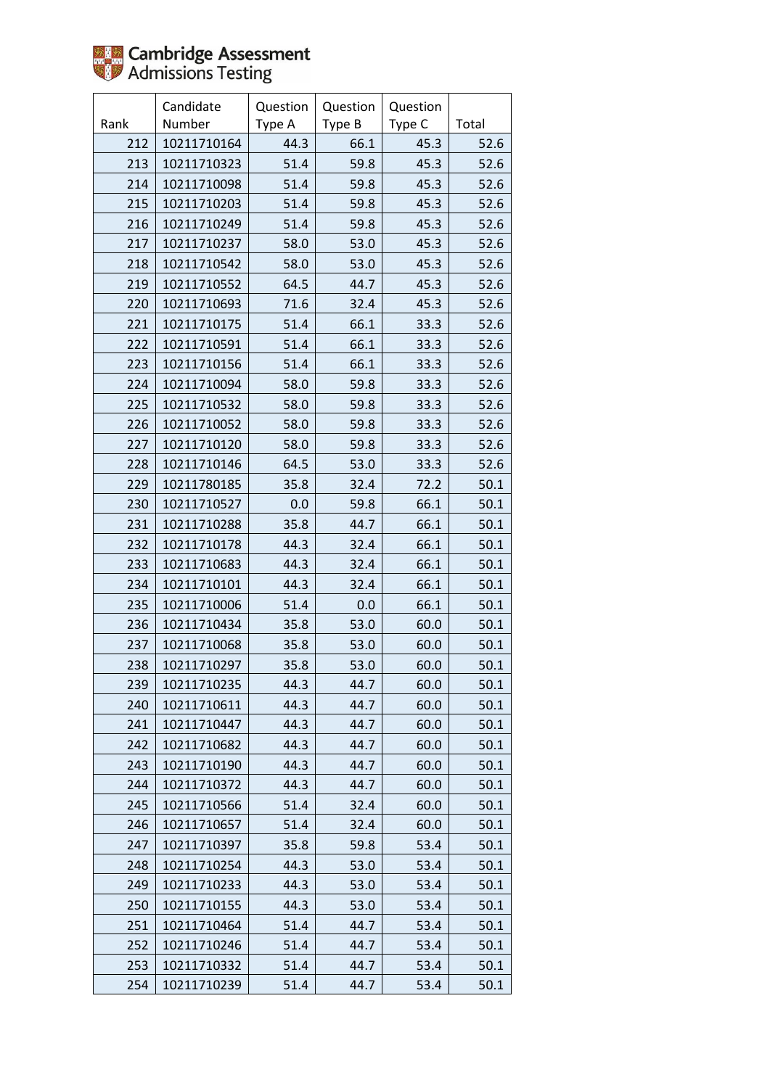

|      | Candidate   | Question | Question | Question |       |
|------|-------------|----------|----------|----------|-------|
| Rank | Number      | Type A   | Type B   | Type C   | Total |
| 212  | 10211710164 | 44.3     | 66.1     | 45.3     | 52.6  |
| 213  | 10211710323 | 51.4     | 59.8     | 45.3     | 52.6  |
| 214  | 10211710098 | 51.4     | 59.8     | 45.3     | 52.6  |
| 215  | 10211710203 | 51.4     | 59.8     | 45.3     | 52.6  |
| 216  | 10211710249 | 51.4     | 59.8     | 45.3     | 52.6  |
| 217  | 10211710237 | 58.0     | 53.0     | 45.3     | 52.6  |
| 218  | 10211710542 | 58.0     | 53.0     | 45.3     | 52.6  |
| 219  | 10211710552 | 64.5     | 44.7     | 45.3     | 52.6  |
| 220  | 10211710693 | 71.6     | 32.4     | 45.3     | 52.6  |
| 221  | 10211710175 | 51.4     | 66.1     | 33.3     | 52.6  |
| 222  | 10211710591 | 51.4     | 66.1     | 33.3     | 52.6  |
| 223  | 10211710156 | 51.4     | 66.1     | 33.3     | 52.6  |
| 224  | 10211710094 | 58.0     | 59.8     | 33.3     | 52.6  |
| 225  | 10211710532 | 58.0     | 59.8     | 33.3     | 52.6  |
| 226  | 10211710052 | 58.0     | 59.8     | 33.3     | 52.6  |
| 227  | 10211710120 | 58.0     | 59.8     | 33.3     | 52.6  |
| 228  | 10211710146 | 64.5     | 53.0     | 33.3     | 52.6  |
| 229  | 10211780185 | 35.8     | 32.4     | 72.2     | 50.1  |
| 230  | 10211710527 | 0.0      | 59.8     | 66.1     | 50.1  |
| 231  | 10211710288 | 35.8     | 44.7     | 66.1     | 50.1  |
| 232  | 10211710178 | 44.3     | 32.4     | 66.1     | 50.1  |
| 233  | 10211710683 | 44.3     | 32.4     | 66.1     | 50.1  |
| 234  | 10211710101 | 44.3     | 32.4     | 66.1     | 50.1  |
| 235  | 10211710006 | 51.4     | 0.0      | 66.1     | 50.1  |
| 236  | 10211710434 | 35.8     | 53.0     | 60.0     | 50.1  |
| 237  | 10211710068 | 35.8     | 53.0     | 60.0     | 50.1  |
| 238  | 10211710297 | 35.8     | 53.0     | 60.0     | 50.1  |
| 239  | 10211710235 | 44.3     | 44.7     | 60.0     | 50.1  |
| 240  | 10211710611 | 44.3     | 44.7     | 60.0     | 50.1  |
| 241  | 10211710447 | 44.3     | 44.7     | 60.0     | 50.1  |
| 242  | 10211710682 | 44.3     | 44.7     | 60.0     | 50.1  |
| 243  | 10211710190 | 44.3     | 44.7     | 60.0     | 50.1  |
| 244  | 10211710372 | 44.3     | 44.7     | 60.0     | 50.1  |
| 245  | 10211710566 | 51.4     | 32.4     | 60.0     | 50.1  |
| 246  | 10211710657 | 51.4     | 32.4     | 60.0     | 50.1  |
| 247  | 10211710397 | 35.8     | 59.8     | 53.4     | 50.1  |
| 248  | 10211710254 | 44.3     | 53.0     | 53.4     | 50.1  |
| 249  | 10211710233 | 44.3     | 53.0     | 53.4     | 50.1  |
| 250  | 10211710155 | 44.3     | 53.0     | 53.4     | 50.1  |
| 251  | 10211710464 | 51.4     | 44.7     | 53.4     | 50.1  |
| 252  | 10211710246 | 51.4     | 44.7     | 53.4     | 50.1  |
| 253  | 10211710332 | 51.4     | 44.7     | 53.4     | 50.1  |
| 254  | 10211710239 | 51.4     | 44.7     | 53.4     | 50.1  |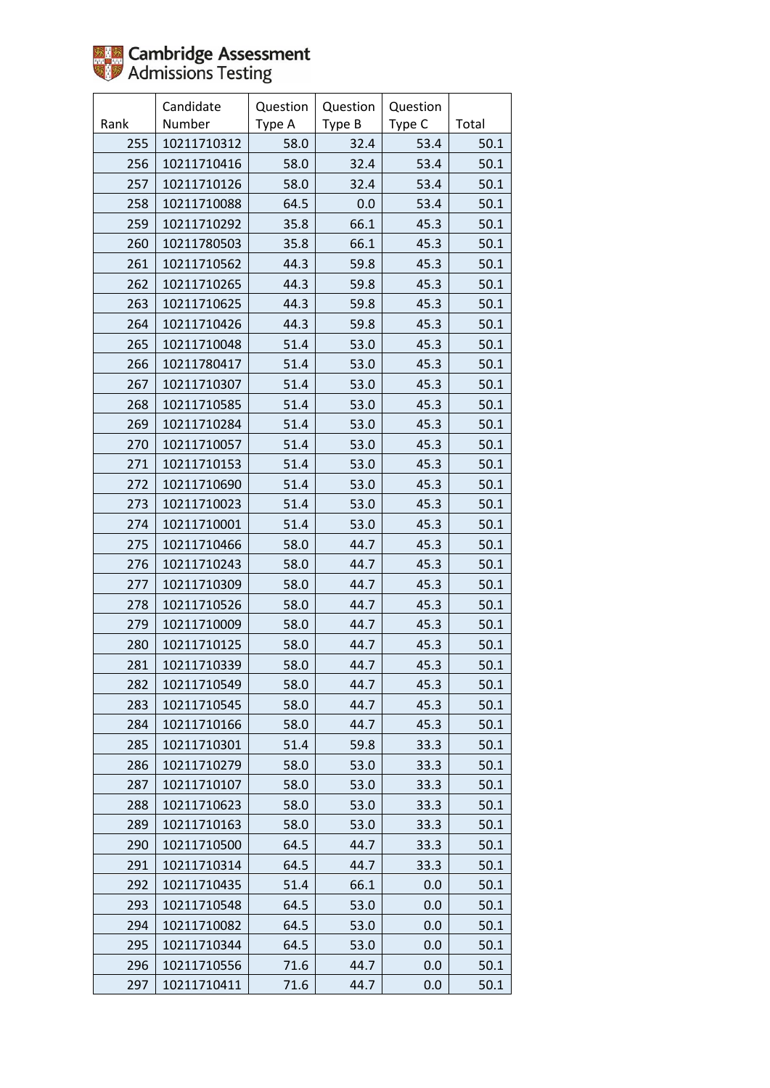

|      | Candidate   | Question | Question | Question |       |
|------|-------------|----------|----------|----------|-------|
| Rank | Number      | Type A   | Type B   | Type C   | Total |
| 255  | 10211710312 | 58.0     | 32.4     | 53.4     | 50.1  |
| 256  | 10211710416 | 58.0     | 32.4     | 53.4     | 50.1  |
| 257  | 10211710126 | 58.0     | 32.4     | 53.4     | 50.1  |
| 258  | 10211710088 | 64.5     | 0.0      | 53.4     | 50.1  |
| 259  | 10211710292 | 35.8     | 66.1     | 45.3     | 50.1  |
| 260  | 10211780503 | 35.8     | 66.1     | 45.3     | 50.1  |
| 261  | 10211710562 | 44.3     | 59.8     | 45.3     | 50.1  |
| 262  | 10211710265 | 44.3     | 59.8     | 45.3     | 50.1  |
| 263  | 10211710625 | 44.3     | 59.8     | 45.3     | 50.1  |
| 264  | 10211710426 | 44.3     | 59.8     | 45.3     | 50.1  |
| 265  | 10211710048 | 51.4     | 53.0     | 45.3     | 50.1  |
| 266  | 10211780417 | 51.4     | 53.0     | 45.3     | 50.1  |
| 267  | 10211710307 | 51.4     | 53.0     | 45.3     | 50.1  |
| 268  | 10211710585 | 51.4     | 53.0     | 45.3     | 50.1  |
| 269  | 10211710284 | 51.4     | 53.0     | 45.3     | 50.1  |
| 270  | 10211710057 | 51.4     | 53.0     | 45.3     | 50.1  |
| 271  | 10211710153 | 51.4     | 53.0     | 45.3     | 50.1  |
| 272  | 10211710690 | 51.4     | 53.0     | 45.3     | 50.1  |
| 273  | 10211710023 | 51.4     | 53.0     | 45.3     | 50.1  |
| 274  | 10211710001 | 51.4     | 53.0     | 45.3     | 50.1  |
| 275  | 10211710466 | 58.0     | 44.7     | 45.3     | 50.1  |
| 276  | 10211710243 | 58.0     | 44.7     | 45.3     | 50.1  |
| 277  | 10211710309 | 58.0     | 44.7     | 45.3     | 50.1  |
| 278  | 10211710526 | 58.0     | 44.7     | 45.3     | 50.1  |
| 279  | 10211710009 | 58.0     | 44.7     | 45.3     | 50.1  |
| 280  | 10211710125 | 58.0     | 44.7     | 45.3     | 50.1  |
| 281  | 10211710339 | 58.0     | 44.7     | 45.3     | 50.1  |
| 282  | 10211710549 | 58.0     | 44.7     | 45.3     | 50.1  |
| 283  | 10211710545 | 58.0     | 44.7     | 45.3     | 50.1  |
| 284  | 10211710166 | 58.0     | 44.7     | 45.3     | 50.1  |
| 285  | 10211710301 | 51.4     | 59.8     | 33.3     | 50.1  |
| 286  | 10211710279 | 58.0     | 53.0     | 33.3     | 50.1  |
| 287  | 10211710107 | 58.0     | 53.0     | 33.3     | 50.1  |
| 288  | 10211710623 | 58.0     | 53.0     | 33.3     | 50.1  |
| 289  | 10211710163 | 58.0     | 53.0     | 33.3     | 50.1  |
| 290  | 10211710500 | 64.5     | 44.7     | 33.3     | 50.1  |
| 291  | 10211710314 | 64.5     | 44.7     | 33.3     | 50.1  |
| 292  | 10211710435 | 51.4     | 66.1     | 0.0      | 50.1  |
| 293  | 10211710548 | 64.5     | 53.0     | 0.0      | 50.1  |
| 294  | 10211710082 | 64.5     | 53.0     | 0.0      | 50.1  |
| 295  | 10211710344 | 64.5     | 53.0     | 0.0      | 50.1  |
| 296  | 10211710556 | 71.6     | 44.7     | 0.0      | 50.1  |
| 297  | 10211710411 | 71.6     | 44.7     | 0.0      | 50.1  |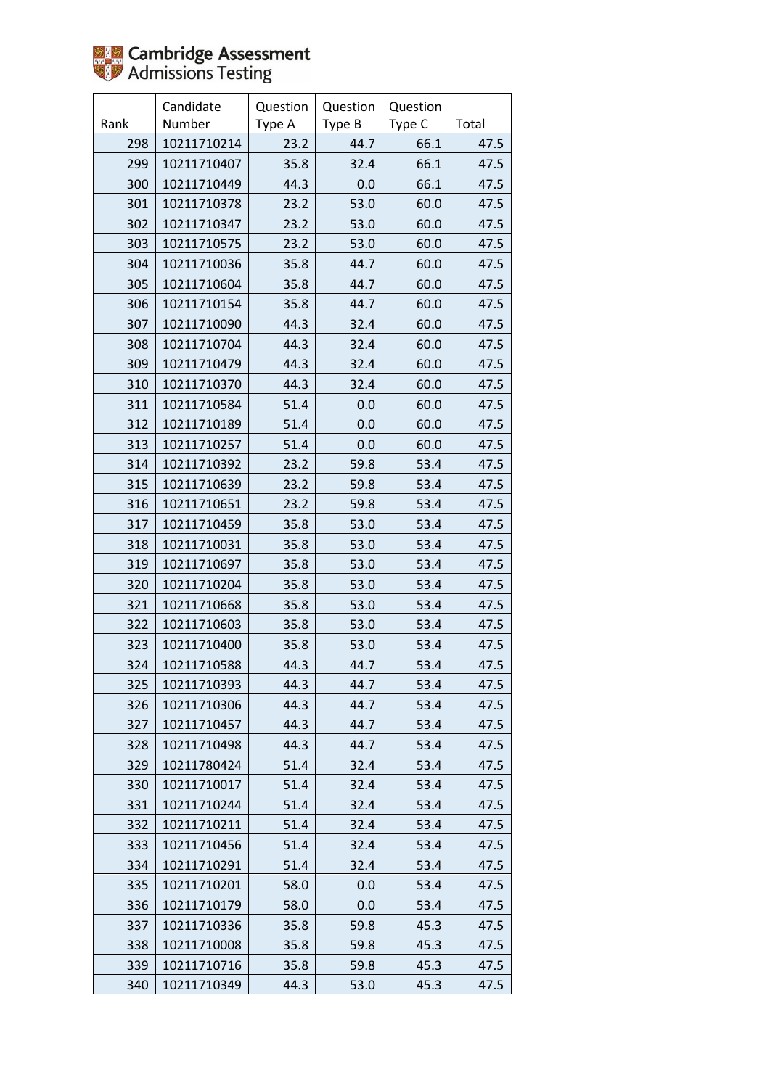

|      | Candidate   | Question | Question | Question |       |
|------|-------------|----------|----------|----------|-------|
| Rank | Number      | Type A   | Type B   | Type C   | Total |
| 298  | 10211710214 | 23.2     | 44.7     | 66.1     | 47.5  |
| 299  | 10211710407 | 35.8     | 32.4     | 66.1     | 47.5  |
| 300  | 10211710449 | 44.3     | 0.0      | 66.1     | 47.5  |
| 301  | 10211710378 | 23.2     | 53.0     | 60.0     | 47.5  |
| 302  | 10211710347 | 23.2     | 53.0     | 60.0     | 47.5  |
| 303  | 10211710575 | 23.2     | 53.0     | 60.0     | 47.5  |
| 304  | 10211710036 | 35.8     | 44.7     | 60.0     | 47.5  |
| 305  | 10211710604 | 35.8     | 44.7     | 60.0     | 47.5  |
| 306  | 10211710154 | 35.8     | 44.7     | 60.0     | 47.5  |
| 307  | 10211710090 | 44.3     | 32.4     | 60.0     | 47.5  |
| 308  | 10211710704 | 44.3     | 32.4     | 60.0     | 47.5  |
| 309  | 10211710479 | 44.3     | 32.4     | 60.0     | 47.5  |
| 310  | 10211710370 | 44.3     | 32.4     | 60.0     | 47.5  |
| 311  | 10211710584 | 51.4     | 0.0      | 60.0     | 47.5  |
| 312  | 10211710189 | 51.4     | 0.0      | 60.0     | 47.5  |
| 313  | 10211710257 | 51.4     | 0.0      | 60.0     | 47.5  |
| 314  | 10211710392 | 23.2     | 59.8     | 53.4     | 47.5  |
| 315  | 10211710639 | 23.2     | 59.8     | 53.4     | 47.5  |
| 316  | 10211710651 | 23.2     | 59.8     | 53.4     | 47.5  |
| 317  | 10211710459 | 35.8     | 53.0     | 53.4     | 47.5  |
| 318  | 10211710031 | 35.8     | 53.0     | 53.4     | 47.5  |
| 319  | 10211710697 | 35.8     | 53.0     | 53.4     | 47.5  |
| 320  | 10211710204 | 35.8     | 53.0     | 53.4     | 47.5  |
| 321  | 10211710668 | 35.8     | 53.0     | 53.4     | 47.5  |
| 322  | 10211710603 | 35.8     | 53.0     | 53.4     | 47.5  |
| 323  | 10211710400 | 35.8     | 53.0     | 53.4     | 47.5  |
| 324  | 10211710588 | 44.3     | 44.7     | 53.4     | 47.5  |
| 325  | 10211710393 | 44.3     | 44.7     | 53.4     | 47.5  |
| 326  | 10211710306 | 44.3     | 44.7     | 53.4     | 47.5  |
| 327  | 10211710457 | 44.3     | 44.7     | 53.4     | 47.5  |
| 328  | 10211710498 | 44.3     | 44.7     | 53.4     | 47.5  |
| 329  | 10211780424 | 51.4     | 32.4     | 53.4     | 47.5  |
| 330  | 10211710017 | 51.4     | 32.4     | 53.4     | 47.5  |
| 331  | 10211710244 | 51.4     | 32.4     | 53.4     | 47.5  |
| 332  | 10211710211 | 51.4     | 32.4     | 53.4     | 47.5  |
| 333  | 10211710456 | 51.4     | 32.4     | 53.4     | 47.5  |
| 334  | 10211710291 | 51.4     | 32.4     | 53.4     | 47.5  |
| 335  | 10211710201 | 58.0     | 0.0      | 53.4     | 47.5  |
| 336  | 10211710179 | 58.0     | 0.0      | 53.4     | 47.5  |
| 337  | 10211710336 | 35.8     | 59.8     | 45.3     | 47.5  |
| 338  | 10211710008 | 35.8     | 59.8     | 45.3     | 47.5  |
| 339  | 10211710716 | 35.8     | 59.8     | 45.3     | 47.5  |
| 340  | 10211710349 | 44.3     | 53.0     | 45.3     | 47.5  |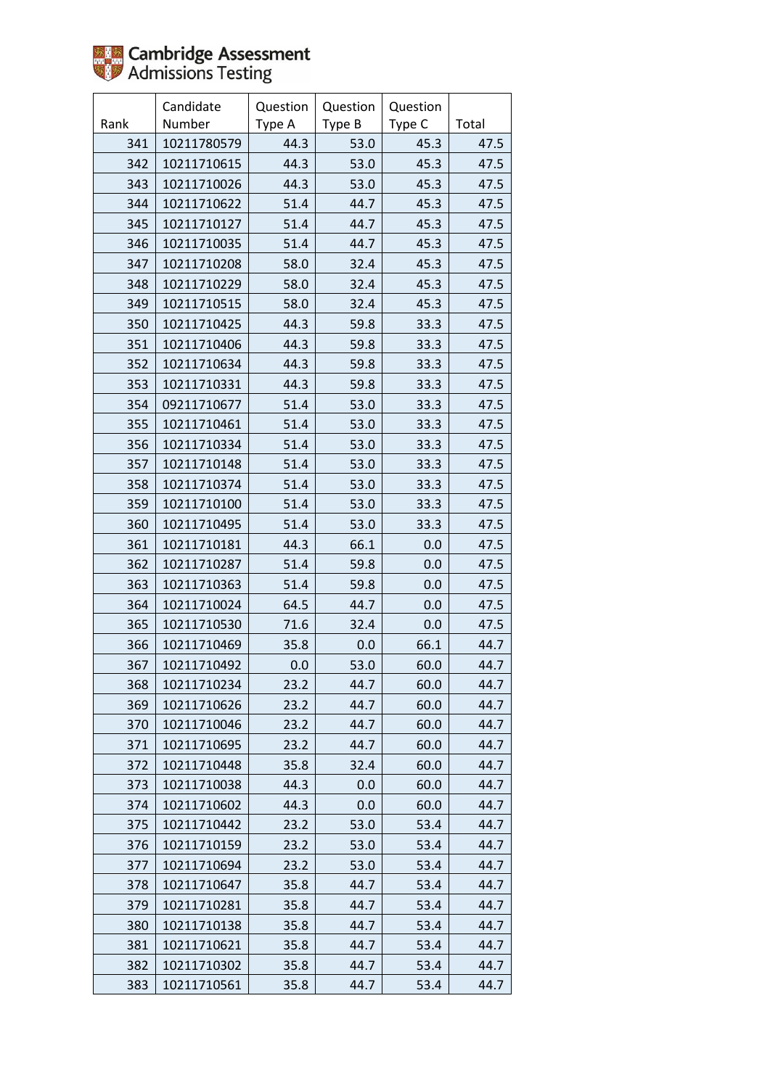

|      | Candidate   | Question | Question | Question |       |
|------|-------------|----------|----------|----------|-------|
| Rank | Number      | Type A   | Type B   | Type C   | Total |
| 341  | 10211780579 | 44.3     | 53.0     | 45.3     | 47.5  |
| 342  | 10211710615 | 44.3     | 53.0     | 45.3     | 47.5  |
| 343  | 10211710026 | 44.3     | 53.0     | 45.3     | 47.5  |
| 344  | 10211710622 | 51.4     | 44.7     | 45.3     | 47.5  |
| 345  | 10211710127 | 51.4     | 44.7     | 45.3     | 47.5  |
| 346  | 10211710035 | 51.4     | 44.7     | 45.3     | 47.5  |
| 347  | 10211710208 | 58.0     | 32.4     | 45.3     | 47.5  |
| 348  | 10211710229 | 58.0     | 32.4     | 45.3     | 47.5  |
| 349  | 10211710515 | 58.0     | 32.4     | 45.3     | 47.5  |
| 350  | 10211710425 | 44.3     | 59.8     | 33.3     | 47.5  |
| 351  | 10211710406 | 44.3     | 59.8     | 33.3     | 47.5  |
| 352  | 10211710634 | 44.3     | 59.8     | 33.3     | 47.5  |
| 353  | 10211710331 | 44.3     | 59.8     | 33.3     | 47.5  |
| 354  | 09211710677 | 51.4     | 53.0     | 33.3     | 47.5  |
| 355  | 10211710461 | 51.4     | 53.0     | 33.3     | 47.5  |
| 356  | 10211710334 | 51.4     | 53.0     | 33.3     | 47.5  |
| 357  | 10211710148 | 51.4     | 53.0     | 33.3     | 47.5  |
| 358  | 10211710374 | 51.4     | 53.0     | 33.3     | 47.5  |
| 359  | 10211710100 | 51.4     | 53.0     | 33.3     | 47.5  |
| 360  | 10211710495 | 51.4     | 53.0     | 33.3     | 47.5  |
| 361  | 10211710181 | 44.3     | 66.1     | 0.0      | 47.5  |
| 362  | 10211710287 | 51.4     | 59.8     | 0.0      | 47.5  |
| 363  | 10211710363 | 51.4     | 59.8     | 0.0      | 47.5  |
| 364  | 10211710024 | 64.5     | 44.7     | 0.0      | 47.5  |
| 365  | 10211710530 | 71.6     | 32.4     | 0.0      | 47.5  |
| 366  | 10211710469 | 35.8     | 0.0      | 66.1     | 44.7  |
| 367  | 10211710492 | 0.0      | 53.0     | 60.0     | 44.7  |
| 368  | 10211710234 | 23.2     | 44.7     | 60.0     | 44.7  |
| 369  | 10211710626 | 23.2     | 44.7     | 60.0     | 44.7  |
| 370  | 10211710046 | 23.2     | 44.7     | 60.0     | 44.7  |
| 371  | 10211710695 | 23.2     | 44.7     | 60.0     | 44.7  |
| 372  | 10211710448 | 35.8     | 32.4     | 60.0     | 44.7  |
| 373  | 10211710038 | 44.3     | 0.0      | 60.0     | 44.7  |
| 374  | 10211710602 | 44.3     | 0.0      | 60.0     | 44.7  |
| 375  | 10211710442 | 23.2     | 53.0     | 53.4     | 44.7  |
| 376  | 10211710159 | 23.2     | 53.0     | 53.4     | 44.7  |
| 377  | 10211710694 | 23.2     | 53.0     | 53.4     | 44.7  |
| 378  | 10211710647 | 35.8     | 44.7     | 53.4     | 44.7  |
| 379  | 10211710281 | 35.8     | 44.7     | 53.4     | 44.7  |
| 380  | 10211710138 | 35.8     | 44.7     | 53.4     | 44.7  |
| 381  | 10211710621 | 35.8     | 44.7     | 53.4     | 44.7  |
| 382  | 10211710302 | 35.8     | 44.7     | 53.4     | 44.7  |
| 383  | 10211710561 | 35.8     | 44.7     | 53.4     | 44.7  |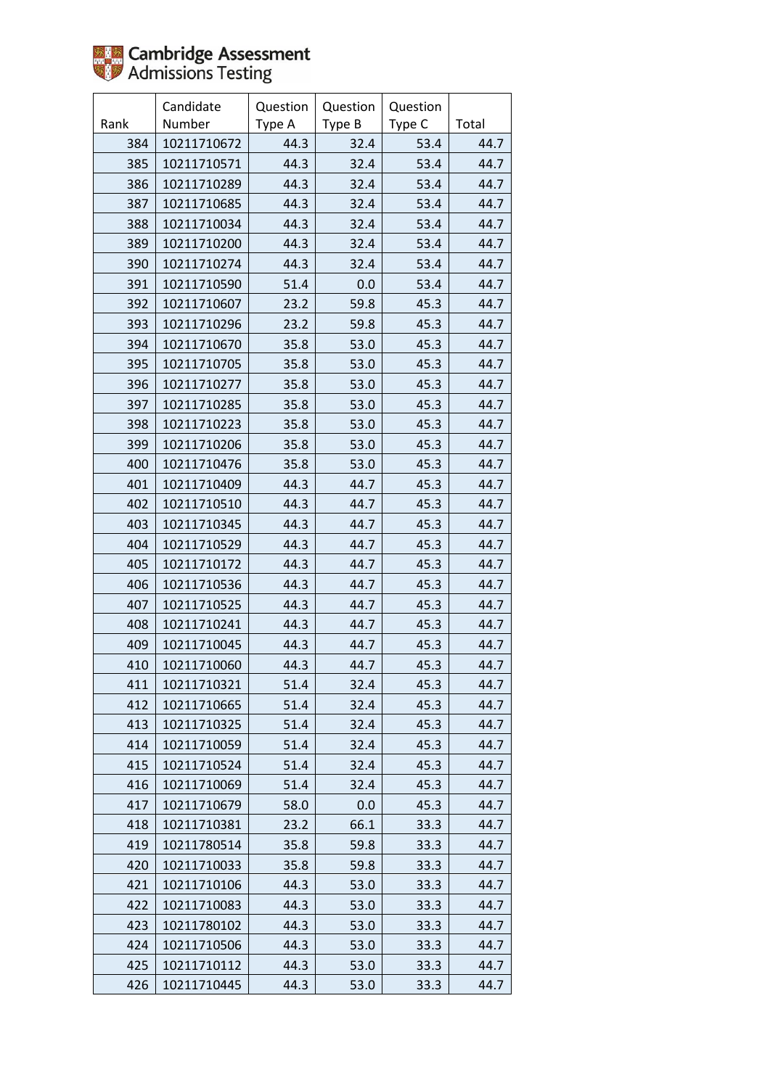

|      | Candidate   | Question | Question | Question |       |
|------|-------------|----------|----------|----------|-------|
| Rank | Number      | Type A   | Type B   | Type C   | Total |
| 384  | 10211710672 | 44.3     | 32.4     | 53.4     | 44.7  |
| 385  | 10211710571 | 44.3     | 32.4     | 53.4     | 44.7  |
| 386  | 10211710289 | 44.3     | 32.4     | 53.4     | 44.7  |
| 387  | 10211710685 | 44.3     | 32.4     | 53.4     | 44.7  |
| 388  | 10211710034 | 44.3     | 32.4     | 53.4     | 44.7  |
| 389  | 10211710200 | 44.3     | 32.4     | 53.4     | 44.7  |
| 390  | 10211710274 | 44.3     | 32.4     | 53.4     | 44.7  |
| 391  | 10211710590 | 51.4     | 0.0      | 53.4     | 44.7  |
| 392  | 10211710607 | 23.2     | 59.8     | 45.3     | 44.7  |
| 393  | 10211710296 | 23.2     | 59.8     | 45.3     | 44.7  |
| 394  | 10211710670 | 35.8     | 53.0     | 45.3     | 44.7  |
| 395  | 10211710705 | 35.8     | 53.0     | 45.3     | 44.7  |
| 396  | 10211710277 | 35.8     | 53.0     | 45.3     | 44.7  |
| 397  | 10211710285 | 35.8     | 53.0     | 45.3     | 44.7  |
| 398  | 10211710223 | 35.8     | 53.0     | 45.3     | 44.7  |
| 399  | 10211710206 | 35.8     | 53.0     | 45.3     | 44.7  |
| 400  | 10211710476 | 35.8     | 53.0     | 45.3     | 44.7  |
| 401  | 10211710409 | 44.3     | 44.7     | 45.3     | 44.7  |
| 402  | 10211710510 | 44.3     | 44.7     | 45.3     | 44.7  |
| 403  | 10211710345 | 44.3     | 44.7     | 45.3     | 44.7  |
| 404  | 10211710529 | 44.3     | 44.7     | 45.3     | 44.7  |
| 405  | 10211710172 | 44.3     | 44.7     | 45.3     | 44.7  |
| 406  | 10211710536 | 44.3     | 44.7     | 45.3     | 44.7  |
| 407  | 10211710525 | 44.3     | 44.7     | 45.3     | 44.7  |
| 408  | 10211710241 | 44.3     | 44.7     | 45.3     | 44.7  |
| 409  | 10211710045 | 44.3     | 44.7     | 45.3     | 44.7  |
| 410  | 10211710060 | 44.3     | 44.7     | 45.3     | 44.7  |
| 411  | 10211710321 | 51.4     | 32.4     | 45.3     | 44.7  |
| 412  | 10211710665 | 51.4     | 32.4     | 45.3     | 44.7  |
| 413  | 10211710325 | 51.4     | 32.4     | 45.3     | 44.7  |
| 414  | 10211710059 | 51.4     | 32.4     | 45.3     | 44.7  |
| 415  | 10211710524 | 51.4     | 32.4     | 45.3     | 44.7  |
| 416  | 10211710069 | 51.4     | 32.4     | 45.3     | 44.7  |
| 417  | 10211710679 | 58.0     | 0.0      | 45.3     | 44.7  |
| 418  | 10211710381 | 23.2     | 66.1     | 33.3     | 44.7  |
| 419  | 10211780514 | 35.8     | 59.8     | 33.3     | 44.7  |
| 420  | 10211710033 | 35.8     | 59.8     | 33.3     | 44.7  |
| 421  | 10211710106 | 44.3     | 53.0     | 33.3     | 44.7  |
| 422  | 10211710083 | 44.3     | 53.0     | 33.3     | 44.7  |
| 423  | 10211780102 | 44.3     | 53.0     | 33.3     | 44.7  |
| 424  | 10211710506 | 44.3     | 53.0     | 33.3     | 44.7  |
| 425  | 10211710112 | 44.3     | 53.0     | 33.3     | 44.7  |
| 426  | 10211710445 | 44.3     | 53.0     | 33.3     | 44.7  |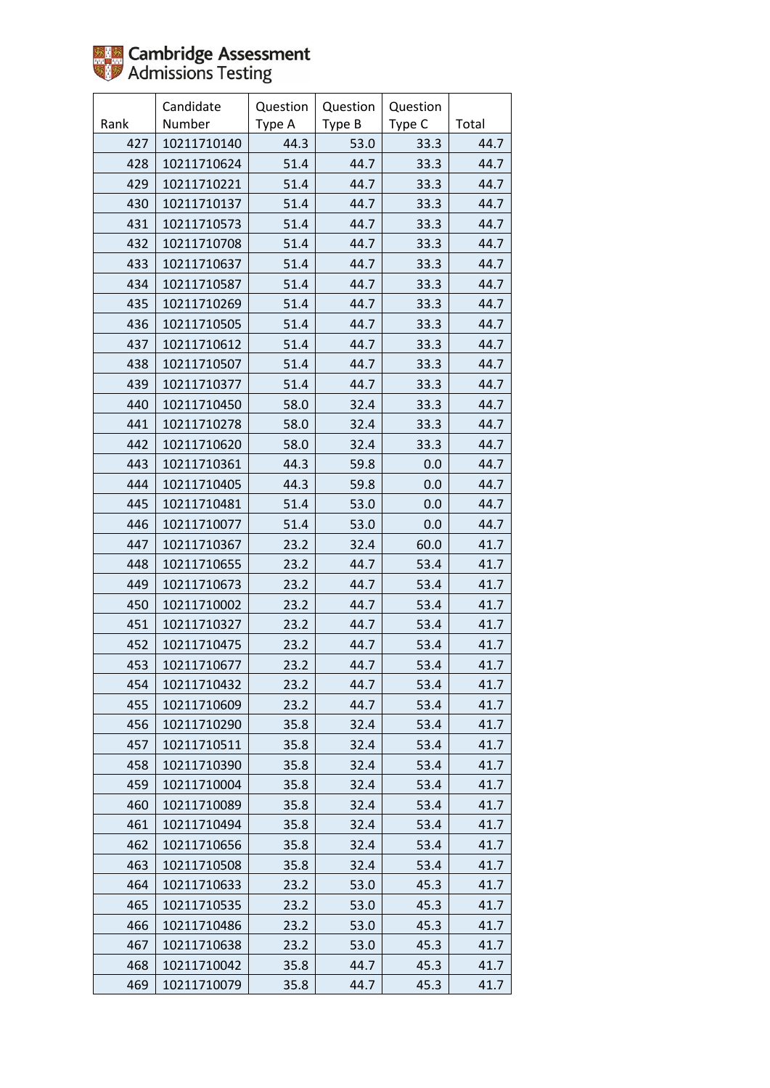

|      | Candidate   | Question | Question | Question |       |
|------|-------------|----------|----------|----------|-------|
| Rank | Number      | Type A   | Type B   | Type C   | Total |
| 427  | 10211710140 | 44.3     | 53.0     | 33.3     | 44.7  |
| 428  | 10211710624 | 51.4     | 44.7     | 33.3     | 44.7  |
| 429  | 10211710221 | 51.4     | 44.7     | 33.3     | 44.7  |
| 430  | 10211710137 | 51.4     | 44.7     | 33.3     | 44.7  |
| 431  | 10211710573 | 51.4     | 44.7     | 33.3     | 44.7  |
| 432  | 10211710708 | 51.4     | 44.7     | 33.3     | 44.7  |
| 433  | 10211710637 | 51.4     | 44.7     | 33.3     | 44.7  |
| 434  | 10211710587 | 51.4     | 44.7     | 33.3     | 44.7  |
| 435  | 10211710269 | 51.4     | 44.7     | 33.3     | 44.7  |
| 436  | 10211710505 | 51.4     | 44.7     | 33.3     | 44.7  |
| 437  | 10211710612 | 51.4     | 44.7     | 33.3     | 44.7  |
| 438  | 10211710507 | 51.4     | 44.7     | 33.3     | 44.7  |
| 439  | 10211710377 | 51.4     | 44.7     | 33.3     | 44.7  |
| 440  | 10211710450 | 58.0     | 32.4     | 33.3     | 44.7  |
| 441  | 10211710278 | 58.0     | 32.4     | 33.3     | 44.7  |
| 442  | 10211710620 | 58.0     | 32.4     | 33.3     | 44.7  |
| 443  | 10211710361 | 44.3     | 59.8     | 0.0      | 44.7  |
| 444  | 10211710405 | 44.3     | 59.8     | 0.0      | 44.7  |
| 445  | 10211710481 | 51.4     | 53.0     | 0.0      | 44.7  |
| 446  | 10211710077 | 51.4     | 53.0     | 0.0      | 44.7  |
| 447  | 10211710367 | 23.2     | 32.4     | 60.0     | 41.7  |
| 448  | 10211710655 | 23.2     | 44.7     | 53.4     | 41.7  |
| 449  | 10211710673 | 23.2     | 44.7     | 53.4     | 41.7  |
| 450  | 10211710002 | 23.2     | 44.7     | 53.4     | 41.7  |
| 451  | 10211710327 | 23.2     | 44.7     | 53.4     | 41.7  |
| 452  | 10211710475 | 23.2     | 44.7     | 53.4     | 41.7  |
| 453  | 10211710677 | 23.2     | 44.7     | 53.4     | 41.7  |
| 454  | 10211710432 | 23.2     | 44.7     | 53.4     | 41.7  |
| 455  | 10211710609 | 23.2     | 44.7     | 53.4     | 41.7  |
| 456  | 10211710290 | 35.8     | 32.4     | 53.4     | 41.7  |
| 457  | 10211710511 | 35.8     | 32.4     | 53.4     | 41.7  |
| 458  | 10211710390 | 35.8     | 32.4     | 53.4     | 41.7  |
| 459  | 10211710004 | 35.8     | 32.4     | 53.4     | 41.7  |
| 460  | 10211710089 | 35.8     | 32.4     | 53.4     | 41.7  |
| 461  | 10211710494 | 35.8     | 32.4     | 53.4     | 41.7  |
| 462  | 10211710656 | 35.8     | 32.4     | 53.4     | 41.7  |
| 463  | 10211710508 | 35.8     | 32.4     | 53.4     | 41.7  |
| 464  | 10211710633 | 23.2     | 53.0     | 45.3     | 41.7  |
| 465  | 10211710535 | 23.2     | 53.0     | 45.3     | 41.7  |
| 466  | 10211710486 | 23.2     | 53.0     | 45.3     | 41.7  |
| 467  | 10211710638 | 23.2     | 53.0     | 45.3     | 41.7  |
| 468  | 10211710042 | 35.8     | 44.7     | 45.3     | 41.7  |
| 469  | 10211710079 | 35.8     | 44.7     | 45.3     | 41.7  |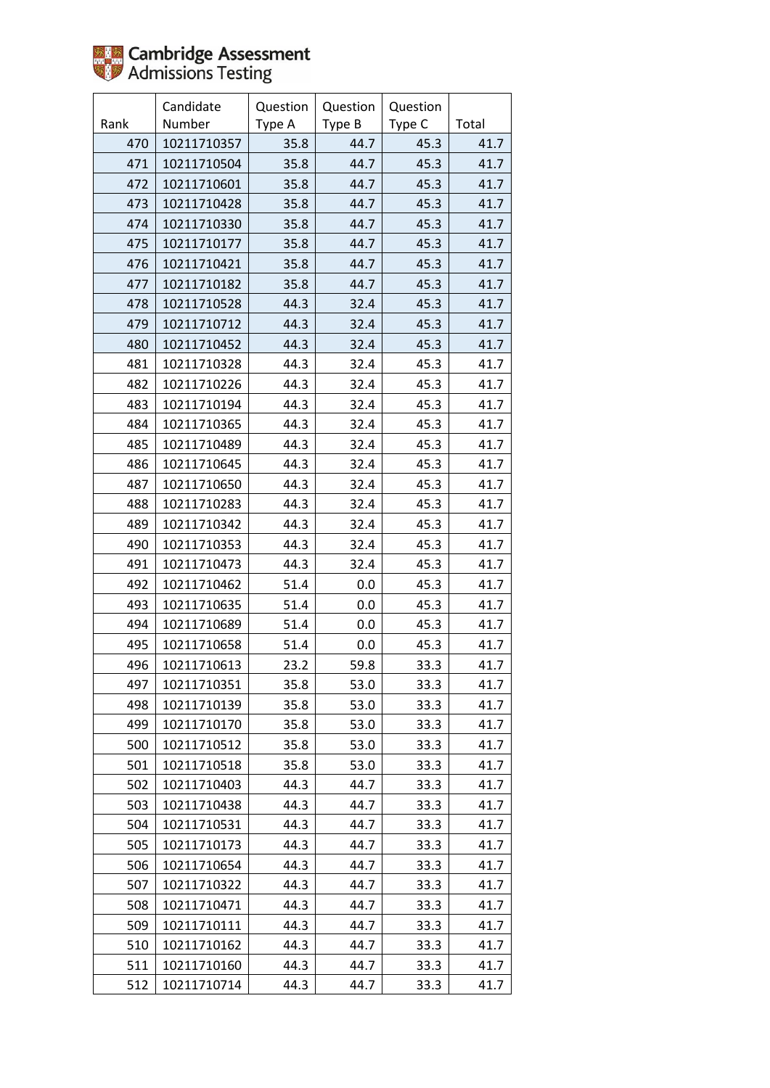

|      | Candidate   | Question | Question | Question |       |
|------|-------------|----------|----------|----------|-------|
| Rank | Number      | Type A   | Type B   | Type C   | Total |
| 470  | 10211710357 | 35.8     | 44.7     | 45.3     | 41.7  |
| 471  | 10211710504 | 35.8     | 44.7     | 45.3     | 41.7  |
| 472  | 10211710601 | 35.8     | 44.7     | 45.3     | 41.7  |
| 473  | 10211710428 | 35.8     | 44.7     | 45.3     | 41.7  |
| 474  | 10211710330 | 35.8     | 44.7     | 45.3     | 41.7  |
| 475  | 10211710177 | 35.8     | 44.7     | 45.3     | 41.7  |
| 476  | 10211710421 | 35.8     | 44.7     | 45.3     | 41.7  |
| 477  | 10211710182 | 35.8     | 44.7     | 45.3     | 41.7  |
| 478  | 10211710528 | 44.3     | 32.4     | 45.3     | 41.7  |
| 479  | 10211710712 | 44.3     | 32.4     | 45.3     | 41.7  |
| 480  | 10211710452 | 44.3     | 32.4     | 45.3     | 41.7  |
| 481  | 10211710328 | 44.3     | 32.4     | 45.3     | 41.7  |
| 482  | 10211710226 | 44.3     | 32.4     | 45.3     | 41.7  |
| 483  | 10211710194 | 44.3     | 32.4     | 45.3     | 41.7  |
| 484  | 10211710365 | 44.3     | 32.4     | 45.3     | 41.7  |
| 485  | 10211710489 | 44.3     | 32.4     | 45.3     | 41.7  |
| 486  | 10211710645 | 44.3     | 32.4     | 45.3     | 41.7  |
| 487  | 10211710650 | 44.3     | 32.4     | 45.3     | 41.7  |
| 488  | 10211710283 | 44.3     | 32.4     | 45.3     | 41.7  |
| 489  | 10211710342 | 44.3     | 32.4     | 45.3     | 41.7  |
| 490  | 10211710353 | 44.3     | 32.4     | 45.3     | 41.7  |
| 491  | 10211710473 | 44.3     | 32.4     | 45.3     | 41.7  |
| 492  | 10211710462 | 51.4     | 0.0      | 45.3     | 41.7  |
| 493  | 10211710635 | 51.4     | 0.0      | 45.3     | 41.7  |
| 494  | 10211710689 | 51.4     | 0.0      | 45.3     | 41.7  |
| 495  | 10211710658 | 51.4     | 0.0      | 45.3     | 41.7  |
| 496  | 10211710613 | 23.2     | 59.8     | 33.3     | 41.7  |
| 497  | 10211710351 | 35.8     | 53.0     | 33.3     | 41.7  |
| 498  | 10211710139 | 35.8     | 53.0     | 33.3     | 41.7  |
| 499  | 10211710170 | 35.8     | 53.0     | 33.3     | 41.7  |
| 500  | 10211710512 | 35.8     | 53.0     | 33.3     | 41.7  |
| 501  | 10211710518 | 35.8     | 53.0     | 33.3     | 41.7  |
| 502  | 10211710403 | 44.3     | 44.7     | 33.3     | 41.7  |
| 503  | 10211710438 | 44.3     | 44.7     | 33.3     | 41.7  |
| 504  | 10211710531 | 44.3     | 44.7     | 33.3     | 41.7  |
| 505  | 10211710173 | 44.3     | 44.7     | 33.3     | 41.7  |
| 506  | 10211710654 | 44.3     | 44.7     | 33.3     | 41.7  |
| 507  | 10211710322 | 44.3     | 44.7     | 33.3     | 41.7  |
| 508  | 10211710471 | 44.3     | 44.7     | 33.3     | 41.7  |
| 509  | 10211710111 | 44.3     | 44.7     | 33.3     | 41.7  |
| 510  | 10211710162 | 44.3     | 44.7     | 33.3     | 41.7  |
| 511  | 10211710160 | 44.3     | 44.7     | 33.3     | 41.7  |
| 512  | 10211710714 | 44.3     | 44.7     | 33.3     | 41.7  |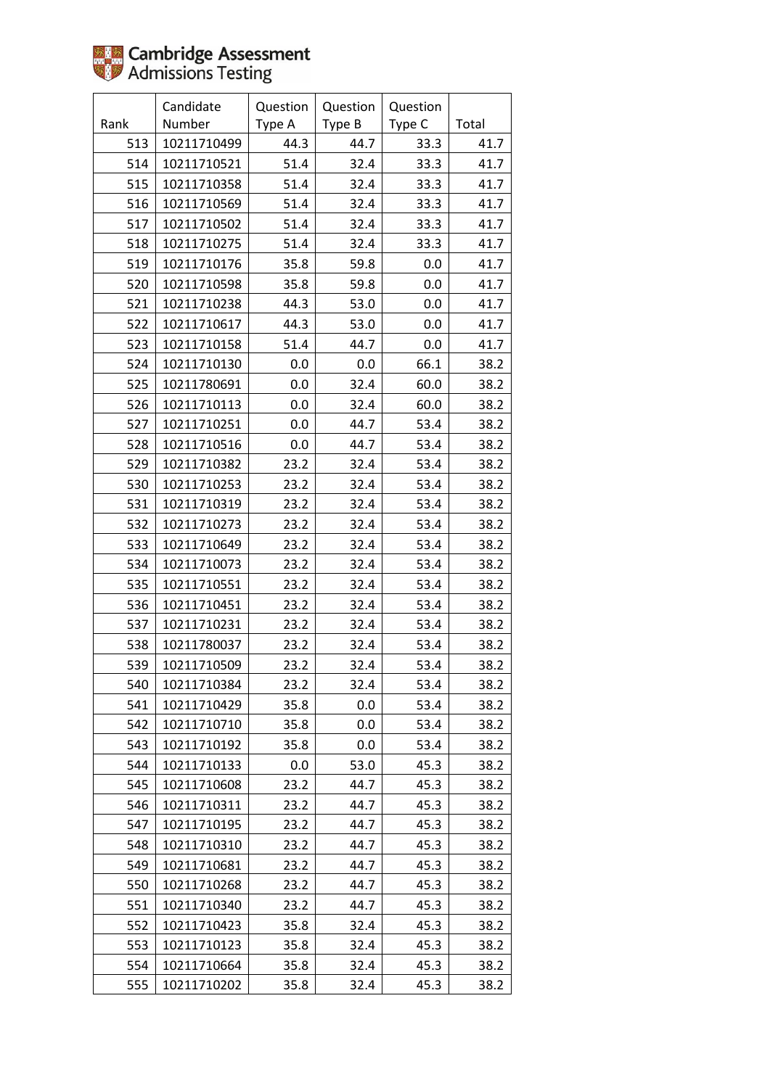|      | Candidate   | Question | Question | Question |       |
|------|-------------|----------|----------|----------|-------|
| Rank | Number      | Type A   | Type B   | Type C   | Total |
| 513  | 10211710499 | 44.3     | 44.7     | 33.3     | 41.7  |
| 514  | 10211710521 | 51.4     | 32.4     | 33.3     | 41.7  |
| 515  | 10211710358 | 51.4     | 32.4     | 33.3     | 41.7  |
| 516  | 10211710569 | 51.4     | 32.4     | 33.3     | 41.7  |
| 517  | 10211710502 | 51.4     | 32.4     | 33.3     | 41.7  |
| 518  | 10211710275 | 51.4     | 32.4     | 33.3     | 41.7  |
| 519  | 10211710176 | 35.8     | 59.8     | 0.0      | 41.7  |
| 520  | 10211710598 | 35.8     | 59.8     | 0.0      | 41.7  |
| 521  | 10211710238 | 44.3     | 53.0     | 0.0      | 41.7  |
| 522  | 10211710617 | 44.3     | 53.0     | 0.0      | 41.7  |
| 523  | 10211710158 | 51.4     | 44.7     | 0.0      | 41.7  |
| 524  | 10211710130 | 0.0      | 0.0      | 66.1     | 38.2  |
| 525  | 10211780691 | 0.0      | 32.4     | 60.0     | 38.2  |
| 526  | 10211710113 | 0.0      | 32.4     | 60.0     | 38.2  |
| 527  | 10211710251 | 0.0      | 44.7     | 53.4     | 38.2  |
| 528  | 10211710516 | 0.0      | 44.7     | 53.4     | 38.2  |
| 529  | 10211710382 | 23.2     | 32.4     | 53.4     | 38.2  |
| 530  | 10211710253 | 23.2     | 32.4     | 53.4     | 38.2  |
| 531  | 10211710319 | 23.2     | 32.4     | 53.4     | 38.2  |
| 532  | 10211710273 | 23.2     | 32.4     | 53.4     | 38.2  |
| 533  | 10211710649 | 23.2     | 32.4     | 53.4     | 38.2  |
| 534  | 10211710073 | 23.2     | 32.4     | 53.4     | 38.2  |
| 535  | 10211710551 | 23.2     | 32.4     | 53.4     | 38.2  |
| 536  | 10211710451 | 23.2     | 32.4     | 53.4     | 38.2  |
| 537  | 10211710231 | 23.2     | 32.4     | 53.4     | 38.2  |
| 538  | 10211780037 | 23.2     | 32.4     | 53.4     | 38.2  |
| 539  | 10211710509 | 23.2     | 32.4     | 53.4     | 38.2  |
| 540  | 10211710384 | 23.2     | 32.4     | 53.4     | 38.2  |
| 541  | 10211710429 | 35.8     | 0.0      | 53.4     | 38.2  |
| 542  | 10211710710 | 35.8     | 0.0      | 53.4     | 38.2  |
| 543  | 10211710192 | 35.8     | 0.0      | 53.4     | 38.2  |
| 544  | 10211710133 | 0.0      | 53.0     | 45.3     | 38.2  |
| 545  | 10211710608 | 23.2     | 44.7     | 45.3     | 38.2  |
| 546  | 10211710311 | 23.2     | 44.7     | 45.3     | 38.2  |
| 547  | 10211710195 | 23.2     | 44.7     | 45.3     | 38.2  |
| 548  | 10211710310 | 23.2     | 44.7     | 45.3     | 38.2  |
| 549  | 10211710681 | 23.2     | 44.7     | 45.3     | 38.2  |
| 550  | 10211710268 | 23.2     | 44.7     | 45.3     | 38.2  |
| 551  | 10211710340 | 23.2     | 44.7     | 45.3     | 38.2  |
| 552  | 10211710423 | 35.8     | 32.4     | 45.3     | 38.2  |
| 553  | 10211710123 | 35.8     | 32.4     | 45.3     | 38.2  |
| 554  | 10211710664 | 35.8     | 32.4     | 45.3     | 38.2  |
| 555  | 10211710202 | 35.8     | 32.4     | 45.3     | 38.2  |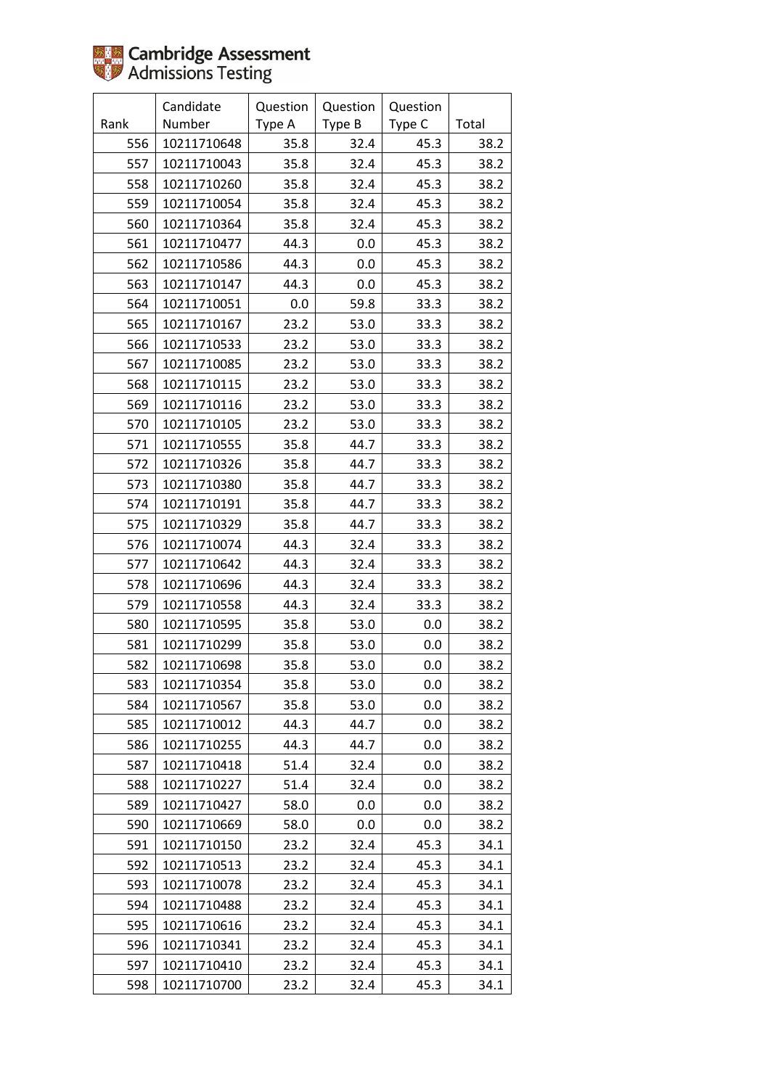|      | Candidate   | Question | Question | Question |       |
|------|-------------|----------|----------|----------|-------|
| Rank | Number      | Type A   | Type B   | Type C   | Total |
| 556  | 10211710648 | 35.8     | 32.4     | 45.3     | 38.2  |
| 557  | 10211710043 | 35.8     | 32.4     | 45.3     | 38.2  |
| 558  | 10211710260 | 35.8     | 32.4     | 45.3     | 38.2  |
| 559  | 10211710054 | 35.8     | 32.4     | 45.3     | 38.2  |
| 560  | 10211710364 | 35.8     | 32.4     | 45.3     | 38.2  |
| 561  | 10211710477 | 44.3     | 0.0      | 45.3     | 38.2  |
| 562  | 10211710586 | 44.3     | 0.0      | 45.3     | 38.2  |
| 563  | 10211710147 | 44.3     | 0.0      | 45.3     | 38.2  |
| 564  | 10211710051 | 0.0      | 59.8     | 33.3     | 38.2  |
| 565  | 10211710167 | 23.2     | 53.0     | 33.3     | 38.2  |
| 566  | 10211710533 | 23.2     | 53.0     | 33.3     | 38.2  |
| 567  | 10211710085 | 23.2     | 53.0     | 33.3     | 38.2  |
| 568  | 10211710115 | 23.2     | 53.0     | 33.3     | 38.2  |
| 569  | 10211710116 | 23.2     | 53.0     | 33.3     | 38.2  |
| 570  | 10211710105 | 23.2     | 53.0     | 33.3     | 38.2  |
| 571  | 10211710555 | 35.8     | 44.7     | 33.3     | 38.2  |
| 572  | 10211710326 | 35.8     | 44.7     | 33.3     | 38.2  |
| 573  | 10211710380 | 35.8     | 44.7     | 33.3     | 38.2  |
| 574  | 10211710191 | 35.8     | 44.7     | 33.3     | 38.2  |
| 575  | 10211710329 | 35.8     | 44.7     | 33.3     | 38.2  |
| 576  | 10211710074 | 44.3     | 32.4     | 33.3     | 38.2  |
| 577  | 10211710642 | 44.3     | 32.4     | 33.3     | 38.2  |
| 578  | 10211710696 | 44.3     | 32.4     | 33.3     | 38.2  |
| 579  | 10211710558 | 44.3     | 32.4     | 33.3     | 38.2  |
| 580  | 10211710595 | 35.8     | 53.0     | 0.0      | 38.2  |
| 581  | 10211710299 | 35.8     | 53.0     | 0.0      | 38.2  |
| 582  | 10211710698 | 35.8     | 53.0     | 0.0      | 38.2  |
| 583  | 10211710354 | 35.8     | 53.0     | 0.0      | 38.2  |
| 584  | 10211710567 | 35.8     | 53.0     | 0.0      | 38.2  |
| 585  | 10211710012 | 44.3     | 44.7     | 0.0      | 38.2  |
| 586  | 10211710255 | 44.3     | 44.7     | 0.0      | 38.2  |
| 587  | 10211710418 | 51.4     | 32.4     | 0.0      | 38.2  |
| 588  | 10211710227 | 51.4     | 32.4     | 0.0      | 38.2  |
| 589  | 10211710427 | 58.0     | 0.0      | 0.0      | 38.2  |
| 590  | 10211710669 | 58.0     | 0.0      | 0.0      | 38.2  |
| 591  | 10211710150 | 23.2     | 32.4     | 45.3     | 34.1  |
| 592  | 10211710513 | 23.2     | 32.4     | 45.3     | 34.1  |
| 593  | 10211710078 | 23.2     | 32.4     | 45.3     | 34.1  |
| 594  | 10211710488 | 23.2     | 32.4     | 45.3     | 34.1  |
| 595  | 10211710616 | 23.2     | 32.4     | 45.3     | 34.1  |
| 596  | 10211710341 | 23.2     | 32.4     | 45.3     | 34.1  |
| 597  | 10211710410 | 23.2     | 32.4     | 45.3     | 34.1  |
| 598  | 10211710700 | 23.2     | 32.4     | 45.3     | 34.1  |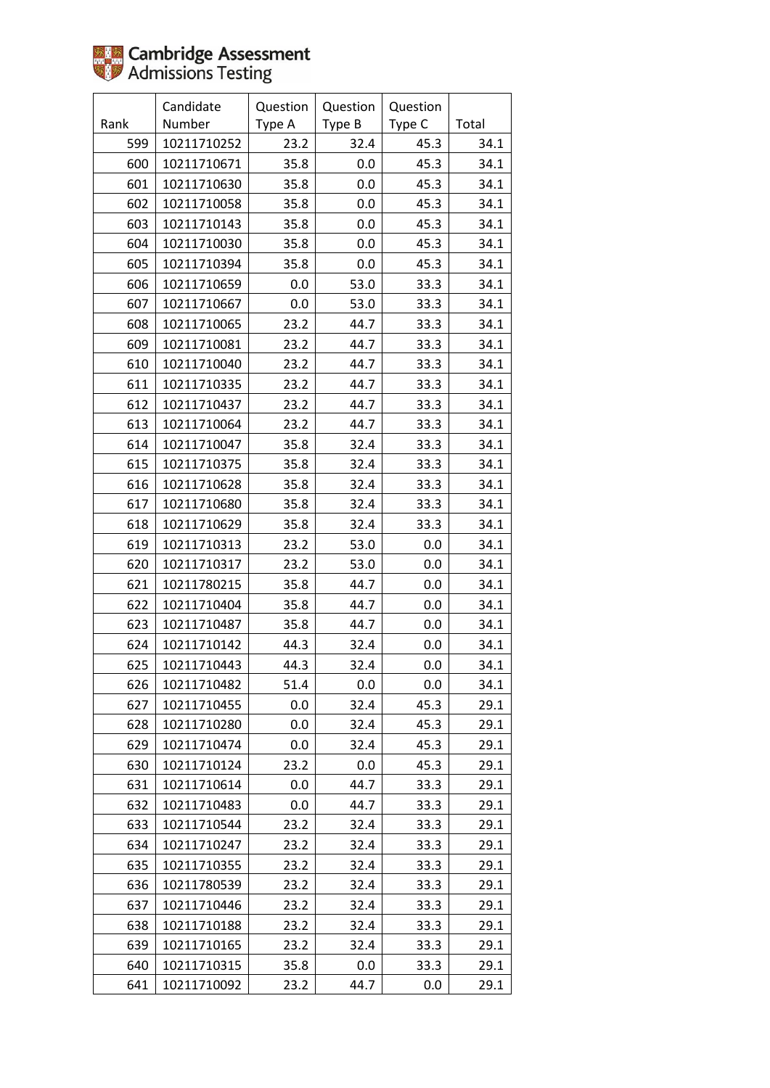|      | Candidate   | Question | Question | Question |       |
|------|-------------|----------|----------|----------|-------|
| Rank | Number      | Type A   | Type B   | Type C   | Total |
| 599  | 10211710252 | 23.2     | 32.4     | 45.3     | 34.1  |
| 600  | 10211710671 | 35.8     | 0.0      | 45.3     | 34.1  |
| 601  | 10211710630 | 35.8     | 0.0      | 45.3     | 34.1  |
| 602  | 10211710058 | 35.8     | 0.0      | 45.3     | 34.1  |
| 603  | 10211710143 | 35.8     | 0.0      | 45.3     | 34.1  |
| 604  | 10211710030 | 35.8     | 0.0      | 45.3     | 34.1  |
| 605  | 10211710394 | 35.8     | 0.0      | 45.3     | 34.1  |
| 606  | 10211710659 | 0.0      | 53.0     | 33.3     | 34.1  |
| 607  | 10211710667 | 0.0      | 53.0     | 33.3     | 34.1  |
| 608  | 10211710065 | 23.2     | 44.7     | 33.3     | 34.1  |
| 609  | 10211710081 | 23.2     | 44.7     | 33.3     | 34.1  |
| 610  | 10211710040 | 23.2     | 44.7     | 33.3     | 34.1  |
| 611  | 10211710335 | 23.2     | 44.7     | 33.3     | 34.1  |
| 612  | 10211710437 | 23.2     | 44.7     | 33.3     | 34.1  |
| 613  | 10211710064 | 23.2     | 44.7     | 33.3     | 34.1  |
| 614  | 10211710047 | 35.8     | 32.4     | 33.3     | 34.1  |
| 615  | 10211710375 | 35.8     | 32.4     | 33.3     | 34.1  |
| 616  | 10211710628 | 35.8     | 32.4     | 33.3     | 34.1  |
| 617  | 10211710680 | 35.8     | 32.4     | 33.3     | 34.1  |
| 618  | 10211710629 | 35.8     | 32.4     | 33.3     | 34.1  |
| 619  | 10211710313 | 23.2     | 53.0     | 0.0      | 34.1  |
| 620  | 10211710317 | 23.2     | 53.0     | 0.0      | 34.1  |
| 621  | 10211780215 | 35.8     | 44.7     | 0.0      | 34.1  |
| 622  | 10211710404 | 35.8     | 44.7     | 0.0      | 34.1  |
| 623  | 10211710487 | 35.8     | 44.7     | 0.0      | 34.1  |
| 624  | 10211710142 | 44.3     | 32.4     | 0.0      | 34.1  |
| 625  | 10211710443 | 44.3     | 32.4     | 0.0      | 34.1  |
| 626  | 10211710482 | 51.4     | 0.0      | 0.0      | 34.1  |
| 627  | 10211710455 | 0.0      | 32.4     | 45.3     | 29.1  |
| 628  | 10211710280 | 0.0      | 32.4     | 45.3     | 29.1  |
| 629  | 10211710474 | 0.0      | 32.4     | 45.3     | 29.1  |
| 630  | 10211710124 | 23.2     | 0.0      | 45.3     | 29.1  |
| 631  | 10211710614 | 0.0      | 44.7     | 33.3     | 29.1  |
| 632  | 10211710483 | 0.0      | 44.7     | 33.3     | 29.1  |
| 633  | 10211710544 | 23.2     | 32.4     | 33.3     | 29.1  |
| 634  | 10211710247 | 23.2     | 32.4     | 33.3     | 29.1  |
| 635  | 10211710355 | 23.2     | 32.4     | 33.3     | 29.1  |
| 636  | 10211780539 | 23.2     | 32.4     | 33.3     | 29.1  |
| 637  | 10211710446 | 23.2     | 32.4     | 33.3     | 29.1  |
| 638  | 10211710188 | 23.2     | 32.4     | 33.3     | 29.1  |
| 639  | 10211710165 | 23.2     | 32.4     | 33.3     | 29.1  |
| 640  | 10211710315 | 35.8     | 0.0      | 33.3     | 29.1  |
| 641  | 10211710092 | 23.2     | 44.7     | 0.0      | 29.1  |